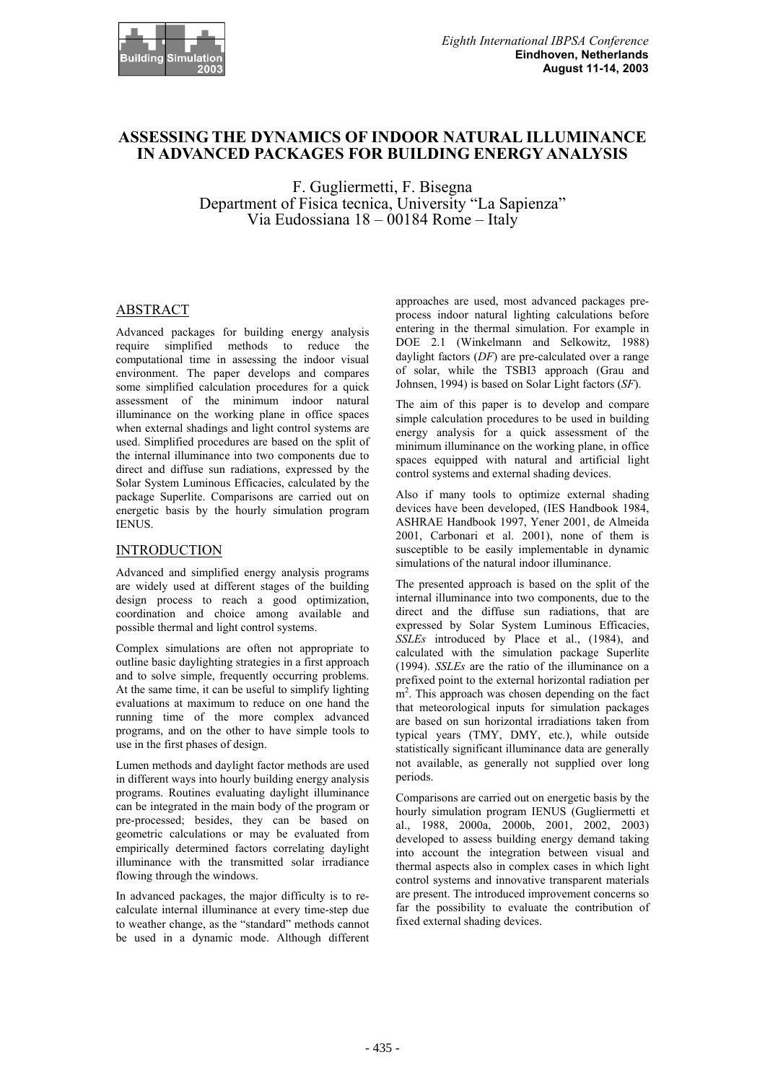

# **ASSESSING THE DYNAMICS OF INDOOR NATURAL ILLUMINANCE IN ADVANCED PACKAGES FOR BUILDING ENERGY ANALYSIS**

F. Gugliermetti, F. Bisegna Department of Fisica tecnica, University "La Sapienza" Via Eudossiana  $18 - 00184$  Rome – Italy

# ABSTRACT

Advanced packages for building energy analysis require simplified methods to reduce the computational time in assessing the indoor visual environment. The paper develops and compares some simplified calculation procedures for a quick assessment of the minimum indoor natural illuminance on the working plane in office spaces when external shadings and light control systems are used. Simplified procedures are based on the split of the internal illuminance into two components due to direct and diffuse sun radiations, expressed by the Solar System Luminous Efficacies, calculated by the package Superlite. Comparisons are carried out on energetic basis by the hourly simulation program IENUS.

#### INTRODUCTION

Advanced and simplified energy analysis programs are widely used at different stages of the building design process to reach a good optimization, coordination and choice among available and possible thermal and light control systems.

Complex simulations are often not appropriate to outline basic daylighting strategies in a first approach and to solve simple, frequently occurring problems. At the same time, it can be useful to simplify lighting evaluations at maximum to reduce on one hand the running time of the more complex advanced programs, and on the other to have simple tools to use in the first phases of design.

Lumen methods and daylight factor methods are used in different ways into hourly building energy analysis programs. Routines evaluating daylight illuminance can be integrated in the main body of the program or pre-processed; besides, they can be based on geometric calculations or may be evaluated from empirically determined factors correlating daylight illuminance with the transmitted solar irradiance flowing through the windows.

In advanced packages, the major difficulty is to recalculate internal illuminance at every time-step due to weather change, as the "standard" methods cannot be used in a dynamic mode. Although different

approaches are used, most advanced packages preprocess indoor natural lighting calculations before entering in the thermal simulation. For example in DOE 2.1 (Winkelmann and Selkowitz, 1988) daylight factors (*DF*) are pre-calculated over a range of solar, while the TSBI3 approach (Grau and Johnsen, 1994) is based on Solar Light factors (*SF*).

The aim of this paper is to develop and compare simple calculation procedures to be used in building energy analysis for a quick assessment of the minimum illuminance on the working plane, in office spaces equipped with natural and artificial light control systems and external shading devices.

Also if many tools to optimize external shading devices have been developed, (IES Handbook 1984, ASHRAE Handbook 1997, Yener 2001, de Almeida 2001, Carbonari et al. 2001), none of them is susceptible to be easily implementable in dynamic simulations of the natural indoor illuminance.

The presented approach is based on the split of the internal illuminance into two components, due to the direct and the diffuse sun radiations, that are expressed by Solar System Luminous Efficacies, *SSLEs* introduced by Place et al., (1984), and calculated with the simulation package Superlite (1994). *SSLEs* are the ratio of the illuminance on a prefixed point to the external horizontal radiation per m<sup>2</sup>. This approach was chosen depending on the fact that meteorological inputs for simulation packages are based on sun horizontal irradiations taken from typical years (TMY, DMY, etc.), while outside statistically significant illuminance data are generally not available, as generally not supplied over long periods.

Comparisons are carried out on energetic basis by the hourly simulation program IENUS (Gugliermetti et al., 1988, 2000a, 2000b, 2001, 2002, 2003) developed to assess building energy demand taking into account the integration between visual and thermal aspects also in complex cases in which light control systems and innovative transparent materials are present. The introduced improvement concerns so far the possibility to evaluate the contribution of fixed external shading devices.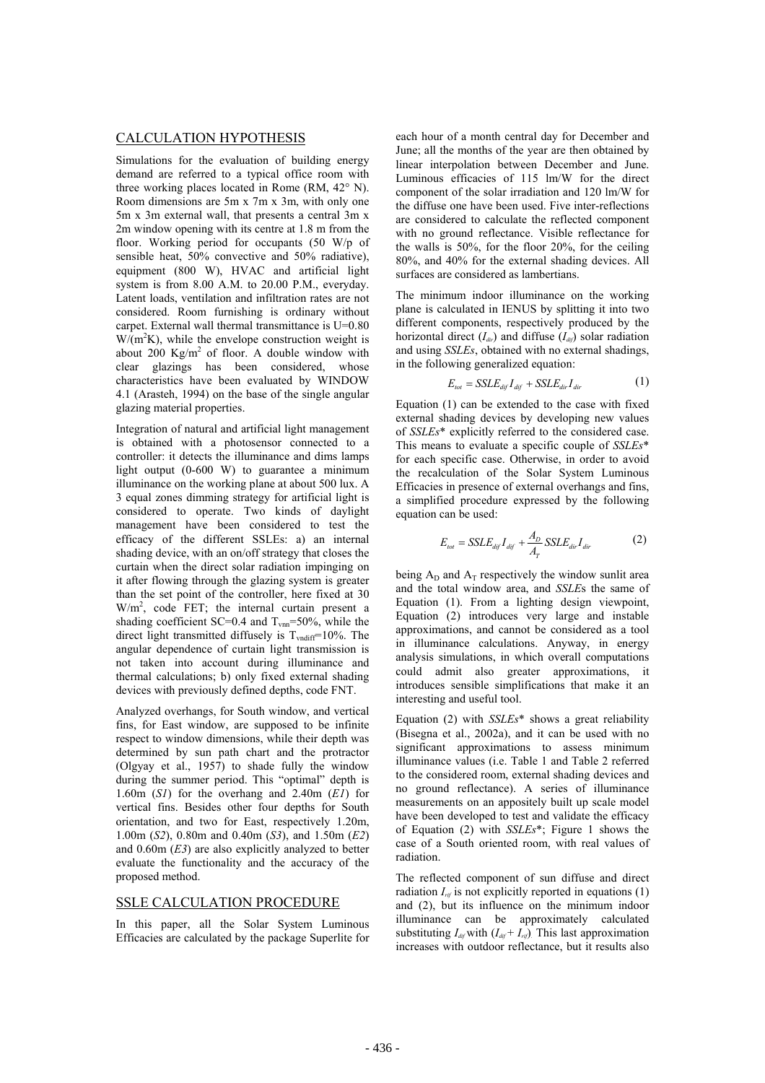#### CALCULATION HYPOTHESIS

Simulations for the evaluation of building energy demand are referred to a typical office room with three working places located in Rome (RM, 42° N). Room dimensions are 5m x 7m x 3m, with only one 5m x 3m external wall, that presents a central 3m x 2m window opening with its centre at 1.8 m from the floor. Working period for occupants (50 W/p of sensible heat, 50% convective and 50% radiative), equipment (800 W), HVAC and artificial light system is from 8.00 A.M. to 20.00 P.M., everyday. Latent loads, ventilation and infiltration rates are not considered. Room furnishing is ordinary without carpet. External wall thermal transmittance is U=0.80  $W/(m^2K)$ , while the envelope construction weight is about 200  $\text{Kg/m}^2$  of floor. A double window with clear glazings has been considered, whose characteristics have been evaluated by WINDOW 4.1 (Arasteh, 1994) on the base of the single angular glazing material properties.

Integration of natural and artificial light management is obtained with a photosensor connected to a controller: it detects the illuminance and dims lamps light output (0-600 W) to guarantee a minimum illuminance on the working plane at about 500 lux. A 3 equal zones dimming strategy for artificial light is considered to operate. Two kinds of daylight management have been considered to test the efficacy of the different SSLEs: a) an internal shading device, with an on/off strategy that closes the curtain when the direct solar radiation impinging on it after flowing through the glazing system is greater than the set point of the controller, here fixed at 30  $W/m<sup>2</sup>$ , code FET; the internal curtain present a shading coefficient SC=0.4 and  $T_{vm}$ =50%, while the direct light transmitted diffusely is  $T_{vndiff}=10%$ . The angular dependence of curtain light transmission is not taken into account during illuminance and thermal calculations; b) only fixed external shading devices with previously defined depths, code FNT.

Analyzed overhangs, for South window, and vertical fins, for East window, are supposed to be infinite respect to window dimensions, while their depth was determined by sun path chart and the protractor (Olgyay et al., 1957) to shade fully the window during the summer period. This "optimal" depth is 1.60m (*S1*) for the overhang and 2.40m (*E1*) for vertical fins. Besides other four depths for South orientation, and two for East, respectively 1.20m, 1.00m (*S2*), 0.80m and 0.40m (*S3*), and 1.50m (*E2*) and 0.60m (*E3*) are also explicitly analyzed to better evaluate the functionality and the accuracy of the proposed method.

# SSLE CALCULATION PROCEDURE

In this paper, all the Solar System Luminous Efficacies are calculated by the package Superlite for each hour of a month central day for December and June; all the months of the year are then obtained by linear interpolation between December and June. Luminous efficacies of 115 lm/W for the direct component of the solar irradiation and 120 lm/W for the diffuse one have been used. Five inter-reflections are considered to calculate the reflected component with no ground reflectance. Visible reflectance for the walls is 50%, for the floor 20%, for the ceiling 80%, and 40% for the external shading devices. All surfaces are considered as lambertians.

The minimum indoor illuminance on the working plane is calculated in IENUS by splitting it into two different components, respectively produced by the horizontal direct  $(I_{div})$  and diffuse  $(I_{div})$  solar radiation and using *SSLEs*, obtained with no external shadings, in the following generalized equation:

$$
E_{tot} = SSE E_{dif} I_{dif} + SSE E_{dir} I_{dir}
$$
 (1)

Equation (1) can be extended to the case with fixed external shading devices by developing new values of *SSLEs*\* explicitly referred to the considered case. This means to evaluate a specific couple of *SSLEs*\* for each specific case. Otherwise, in order to avoid the recalculation of the Solar System Luminous Efficacies in presence of external overhangs and fins, a simplified procedure expressed by the following equation can be used:

$$
E_{tot} = SSE E_{dif} I_{dif} + \frac{A_D}{A_T} SSE E_{dir} I_{dir}
$$
 (2)

being  $A_D$  and  $A_T$  respectively the window sunlit area and the total window area, and *SSLE*s the same of Equation (1). From a lighting design viewpoint, Equation (2) introduces very large and instable approximations, and cannot be considered as a tool in illuminance calculations. Anyway, in energy analysis simulations, in which overall computations could admit also greater approximations, it introduces sensible simplifications that make it an interesting and useful tool.

Equation (2) with *SSLEs*\* shows a great reliability (Bisegna et al., 2002a), and it can be used with no significant approximations to assess minimum illuminance values (i.e. Table 1 and Table 2 referred to the considered room, external shading devices and no ground reflectance). A series of illuminance measurements on an appositely built up scale model have been developed to test and validate the efficacy of Equation (2) with *SSLEs*\*; Figure 1 shows the case of a South oriented room, with real values of radiation.

The reflected component of sun diffuse and direct radiation  $I_{\text{rif}}$  is not explicitly reported in equations (1) and (2), but its influence on the minimum indoor illuminance can be approximately calculated substituting  $I_{dif}$  with  $(I_{dif} + I_{rif})$ . This last approximation increases with outdoor reflectance, but it results also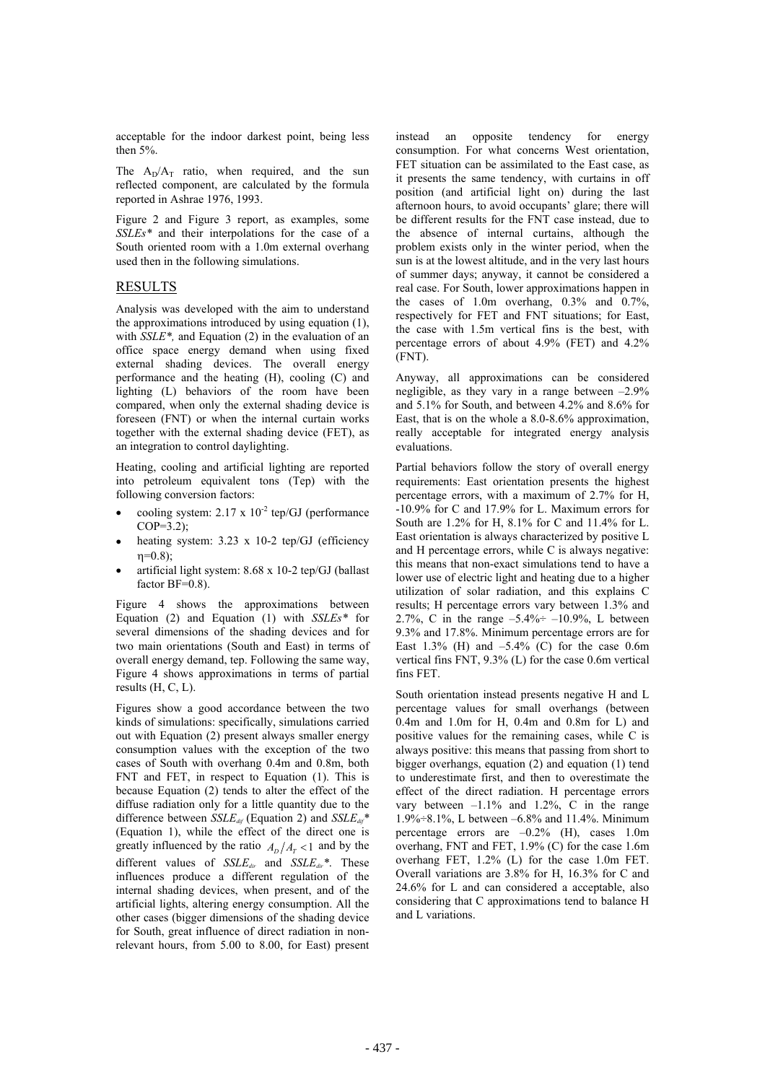acceptable for the indoor darkest point, being less then 5%.

The  $A_D/A_T$  ratio, when required, and the sun reflected component, are calculated by the formula reported in Ashrae 1976, 1993.

Figure 2 and Figure 3 report, as examples, some *SSLEs\** and their interpolations for the case of a South oriented room with a 1.0m external overhang used then in the following simulations.

### RESULTS

Analysis was developed with the aim to understand the approximations introduced by using equation (1), with *SSLE\*,* and Equation (2) in the evaluation of an office space energy demand when using fixed external shading devices. The overall energy performance and the heating (H), cooling (C) and lighting (L) behaviors of the room have been compared, when only the external shading device is foreseen (FNT) or when the internal curtain works together with the external shading device (FET), as an integration to control daylighting.

Heating, cooling and artificial lighting are reported into petroleum equivalent tons (Tep) with the following conversion factors:

- cooling system:  $2.17 \times 10^{-2}$  tep/GJ (performance COP=3.2);
- heating system: 3.23 x 10-2 tep/GJ (efficiency  $n=0.8$ );
- x artificial light system: 8.68 x 10-2 tep/GJ (ballast factor  $BF=0.8$ ).

Figure 4 shows the approximations between Equation (2) and Equation (1) with *SSLEs\** for several dimensions of the shading devices and for two main orientations (South and East) in terms of overall energy demand, tep. Following the same way, Figure 4 shows approximations in terms of partial results (H, C, L).

Figures show a good accordance between the two kinds of simulations: specifically, simulations carried out with Equation (2) present always smaller energy consumption values with the exception of the two cases of South with overhang 0.4m and 0.8m, both FNT and FET, in respect to Equation (1). This is because Equation (2) tends to alter the effect of the diffuse radiation only for a little quantity due to the difference between *SSLE*<sub>dif</sub> (Equation 2) and *SSLE*<sub>dif</sub>\* (Equation 1), while the effect of the direct one is greatly influenced by the ratio  $A_D / A_T < 1$  and by the different values of *SSLEdir* and *SSLEdir\**. These influences produce a different regulation of the internal shading devices, when present, and of the artificial lights, altering energy consumption. All the other cases (bigger dimensions of the shading device for South, great influence of direct radiation in nonrelevant hours, from 5.00 to 8.00, for East) present instead an opposite tendency for energy consumption. For what concerns West orientation, FET situation can be assimilated to the East case, as it presents the same tendency, with curtains in off position (and artificial light on) during the last afternoon hours, to avoid occupants' glare; there will be different results for the FNT case instead, due to the absence of internal curtains, although the problem exists only in the winter period, when the sun is at the lowest altitude, and in the very last hours of summer days; anyway, it cannot be considered a real case. For South, lower approximations happen in the cases of 1.0m overhang, 0.3% and 0.7%, respectively for FET and FNT situations; for East, the case with 1.5m vertical fins is the best, with percentage errors of about 4.9% (FET) and 4.2% (FNT).

Anyway, all approximations can be considered negligible, as they vary in a range between  $-2.9\%$ and 5.1% for South, and between 4.2% and 8.6% for East, that is on the whole a 8.0-8.6% approximation, really acceptable for integrated energy analysis evaluations.

Partial behaviors follow the story of overall energy requirements: East orientation presents the highest percentage errors, with a maximum of 2.7% for H, -10.9% for C and 17.9% for L. Maximum errors for South are 1.2% for H, 8.1% for C and 11.4% for L. East orientation is always characterized by positive L and H percentage errors, while C is always negative: this means that non-exact simulations tend to have a lower use of electric light and heating due to a higher utilization of solar radiation, and this explains C results; H percentage errors vary between 1.3% and 2.7%, C in the range  $-5.4\% \div -10.9\%$ , L between 9.3% and 17.8%. Minimum percentage errors are for East 1.3% (H) and  $-5.4\%$  (C) for the case 0.6m vertical fins FNT, 9.3% (L) for the case 0.6m vertical fins FET.

South orientation instead presents negative H and L percentage values for small overhangs (between 0.4m and 1.0m for H, 0.4m and 0.8m for L) and positive values for the remaining cases, while C is always positive: this means that passing from short to bigger overhangs, equation (2) and equation (1) tend to underestimate first, and then to overestimate the effect of the direct radiation. H percentage errors vary between  $-1.1\%$  and 1.2%, C in the range 1.9%÷8.1%, L between –6.8% and 11.4%. Minimum percentage errors are –0.2% (H), cases 1.0m overhang, FNT and FET, 1.9% (C) for the case 1.6m overhang FET, 1.2% (L) for the case 1.0m FET. Overall variations are 3.8% for H, 16.3% for C and 24.6% for L and can considered a acceptable, also considering that C approximations tend to balance H and L variations.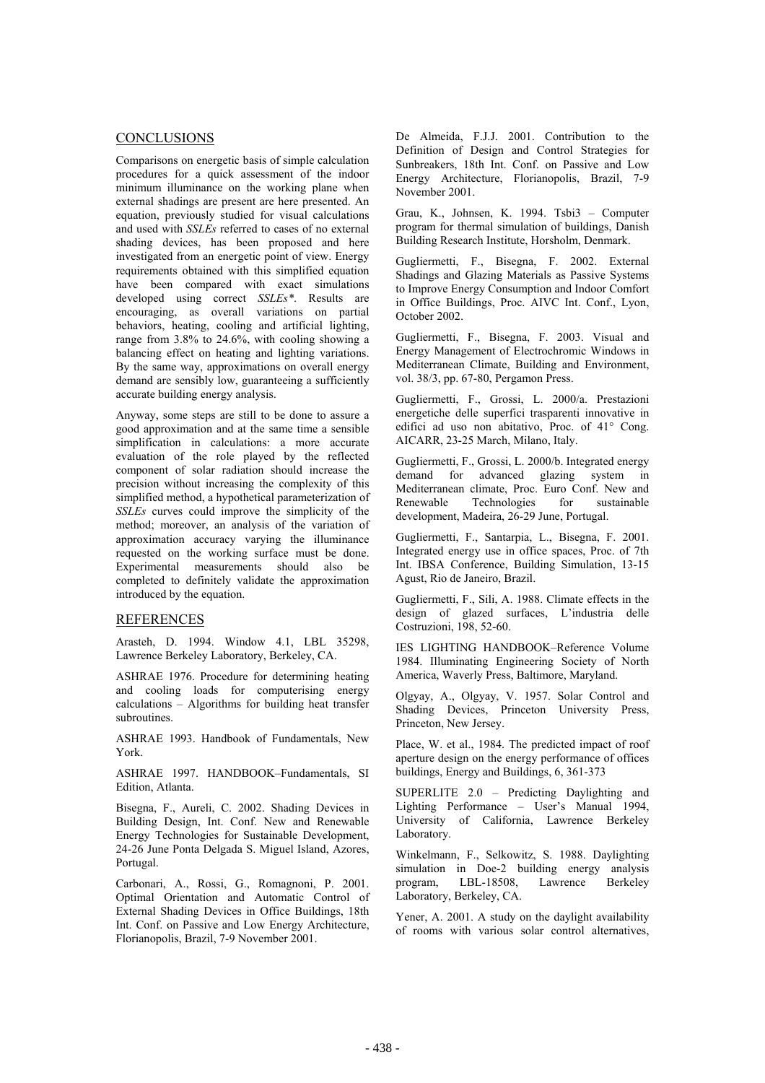### **CONCLUSIONS**

Comparisons on energetic basis of simple calculation procedures for a quick assessment of the indoor minimum illuminance on the working plane when external shadings are present are here presented. An equation, previously studied for visual calculations and used with *SSLEs* referred to cases of no external shading devices, has been proposed and here investigated from an energetic point of view. Energy requirements obtained with this simplified equation have been compared with exact simulations developed using correct *SSLEs\**. Results are encouraging, as overall variations on partial behaviors, heating, cooling and artificial lighting, range from 3.8% to 24.6%, with cooling showing a balancing effect on heating and lighting variations. By the same way, approximations on overall energy demand are sensibly low, guaranteeing a sufficiently accurate building energy analysis.

Anyway, some steps are still to be done to assure a good approximation and at the same time a sensible simplification in calculations: a more accurate evaluation of the role played by the reflected component of solar radiation should increase the precision without increasing the complexity of this simplified method, a hypothetical parameterization of *SSLEs* curves could improve the simplicity of the method; moreover, an analysis of the variation of approximation accuracy varying the illuminance requested on the working surface must be done. Experimental measurements should also be completed to definitely validate the approximation introduced by the equation.

#### REFERENCES

Arasteh, D. 1994. Window 4.1, LBL 35298, Lawrence Berkeley Laboratory, Berkeley, CA.

ASHRAE 1976. Procedure for determining heating and cooling loads for computerising energy calculations – Algorithms for building heat transfer subroutines.

ASHRAE 1993. Handbook of Fundamentals, New York.

ASHRAE 1997. HANDBOOK–Fundamentals, SI Edition, Atlanta.

Bisegna, F., Aureli, C. 2002. Shading Devices in Building Design, Int. Conf. New and Renewable Energy Technologies for Sustainable Development, 24-26 June Ponta Delgada S. Miguel Island, Azores, Portugal.

Carbonari, A., Rossi, G., Romagnoni, P. 2001. Optimal Orientation and Automatic Control of External Shading Devices in Office Buildings, 18th Int. Conf. on Passive and Low Energy Architecture, Florianopolis, Brazil, 7-9 November 2001.

De Almeida, F.J.J. 2001. Contribution to the Definition of Design and Control Strategies for Sunbreakers, 18th Int. Conf. on Passive and Low Energy Architecture, Florianopolis, Brazil, 7-9 November 2001.

Grau, K., Johnsen, K. 1994. Tsbi3 – Computer program for thermal simulation of buildings, Danish Building Research Institute, Horsholm, Denmark.

Gugliermetti, F., Bisegna, F. 2002. External Shadings and Glazing Materials as Passive Systems to Improve Energy Consumption and Indoor Comfort in Office Buildings, Proc. AIVC Int. Conf., Lyon, October 2002.

Gugliermetti, F., Bisegna, F. 2003. Visual and Energy Management of Electrochromic Windows in Mediterranean Climate, Building and Environment, vol. 38/3, pp. 67-80, Pergamon Press.

Gugliermetti, F., Grossi, L. 2000/a. Prestazioni energetiche delle superfici trasparenti innovative in edifici ad uso non abitativo, Proc. of 41° Cong. AICARR, 23-25 March, Milano, Italy.

Gugliermetti, F., Grossi, L. 2000/b. Integrated energy demand for advanced glazing system in Mediterranean climate, Proc. Euro Conf. New and Renewable Technologies for sustainable development, Madeira, 26-29 June, Portugal.

Gugliermetti, F., Santarpia, L., Bisegna, F. 2001. Integrated energy use in office spaces, Proc. of 7th Int. IBSA Conference, Building Simulation, 13-15 Agust, Rio de Janeiro, Brazil.

Gugliermetti, F., Sili, A. 1988. Climate effects in the design of glazed surfaces, L'industria delle Costruzioni, 198, 52-60.

IES LIGHTING HANDBOOK–Reference Volume 1984. Illuminating Engineering Society of North America, Waverly Press, Baltimore, Maryland.

Olgyay, A., Olgyay, V. 1957. Solar Control and Shading Devices, Princeton University Press, Princeton, New Jersey.

Place, W. et al., 1984. The predicted impact of roof aperture design on the energy performance of offices buildings, Energy and Buildings, 6, 361-373

SUPERLITE 2.0 – Predicting Daylighting and Lighting Performance – User's Manual 1994, University of California, Lawrence Berkeley Laboratory.

Winkelmann, F., Selkowitz, S. 1988. Daylighting simulation in Doe-2 building energy analysis program, LBL-18508, Lawrence Berkeley Laboratory, Berkeley, CA.

Yener, A. 2001. A study on the daylight availability of rooms with various solar control alternatives,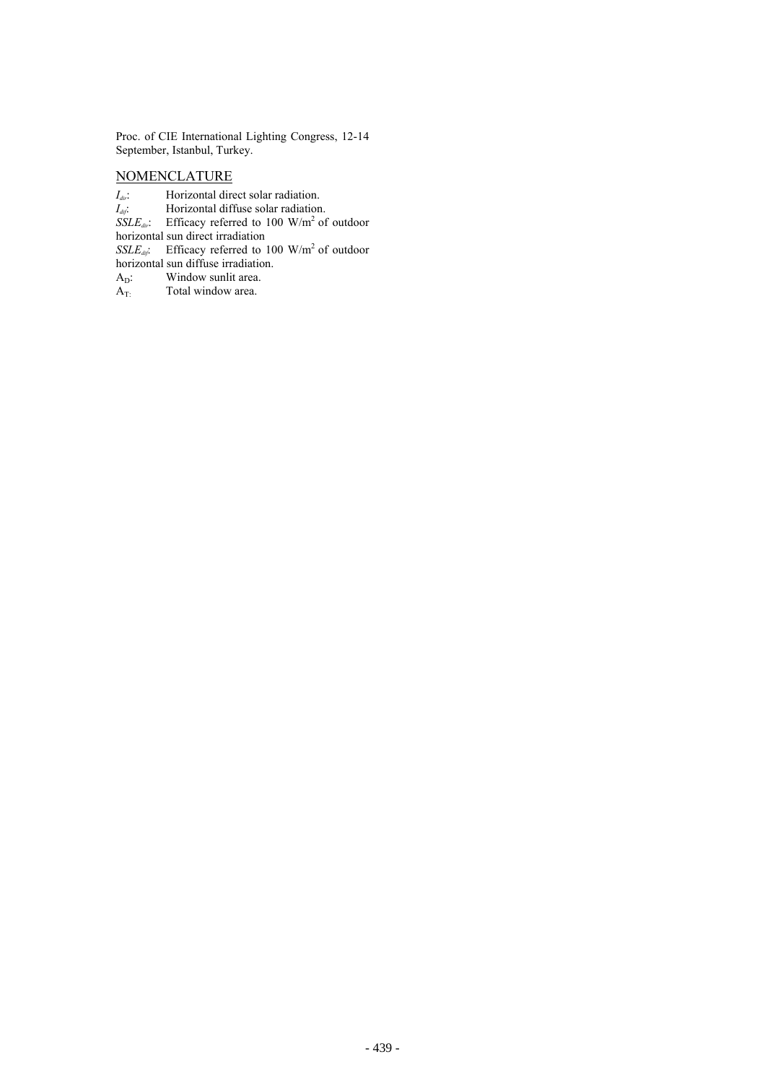Proc. of CIE International Lighting Congress, 12-14 September, Istanbul, Turkey.

# NOMENCLATURE

- *I<sub>dir</sub>*: Horizontal direct solar radiation.
- *I<sub>dif</sub>*: Horizontal diffuse solar radiation.
- $SSLE_{div}$ : Efficacy referred to 100 W/m<sup>2</sup> of outdoor

horizontal sun direct irradiation

*SSLE<sub>dy</sub>*: Efficacy referred to 100 W/m<sup>2</sup> of outdoor

horizontal sun diffuse irradiation.

- $A_D$ : Window sunlit area.
- $A_{T}$ : Total window area.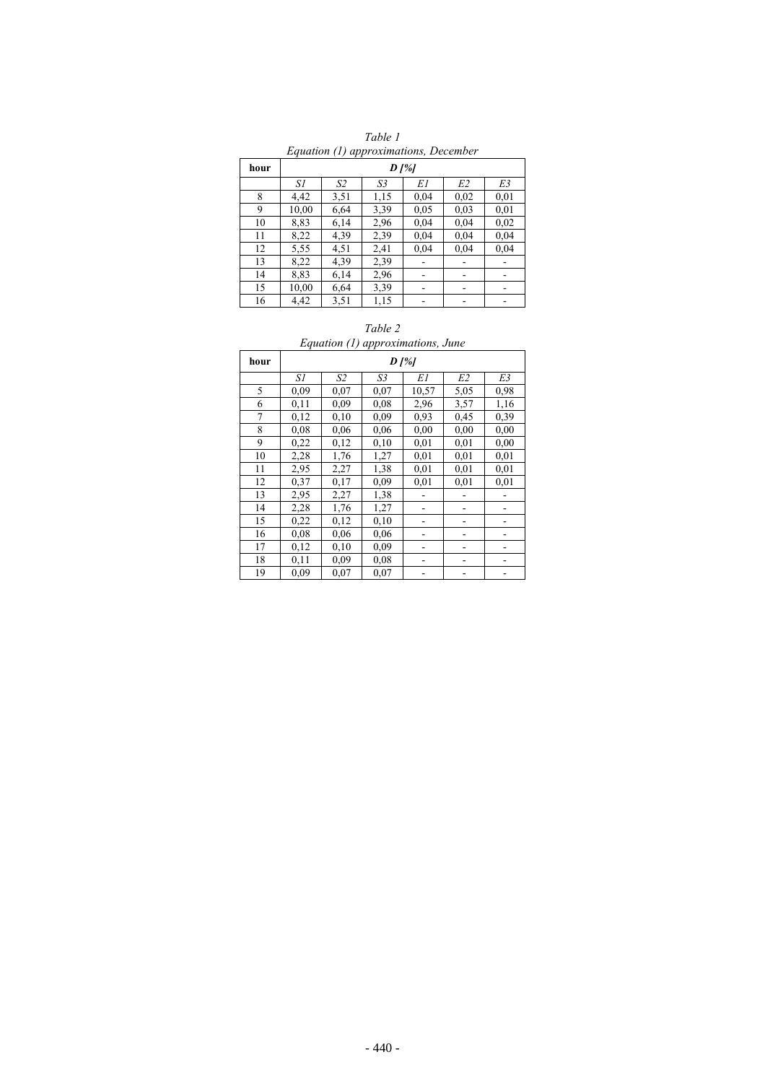| $Bquation (1) upp is sumation, Becenio$ |                 |      |      |      |      |      |  |  |  |  |
|-----------------------------------------|-----------------|------|------|------|------|------|--|--|--|--|
| hour                                    | $D \frac{1}{6}$ |      |      |      |      |      |  |  |  |  |
|                                         | S1              | S2   | S3   | EΙ   | E2   | E3   |  |  |  |  |
| 8                                       | 4,42            | 3,51 | 1,15 | 0,04 | 0,02 | 0.01 |  |  |  |  |
| 9                                       | 10,00           | 6,64 | 3,39 | 0.05 | 0.03 | 0.01 |  |  |  |  |
| 10                                      | 8,83            | 6,14 | 2,96 | 0,04 | 0,04 | 0,02 |  |  |  |  |
| 11                                      | 8,22            | 4,39 | 2,39 | 0,04 | 0,04 | 0,04 |  |  |  |  |
| 12                                      | 5,55            | 4,51 | 2,41 | 0,04 | 0,04 | 0.04 |  |  |  |  |
| 13                                      | 8,22            | 4,39 | 2,39 |      |      |      |  |  |  |  |
| 14                                      | 8,83            | 6,14 | 2,96 |      |      |      |  |  |  |  |
| 15                                      | 10,00           | 6,64 | 3,39 | -    | -    | ۰    |  |  |  |  |
| 16                                      | 4,42            | 3,51 | 1,15 |      |      |      |  |  |  |  |

*Table 1 Equation (1) approximations, December* 

#### *Table 2*

# *Equation (1) approximations, June*

| hour | $D^{8}$ |      |      |       |                |      |  |  |
|------|---------|------|------|-------|----------------|------|--|--|
|      | SΙ      | S2   | S3   | EΙ    | E <sub>2</sub> | E3   |  |  |
| 5    | 0.09    | 0,07 | 0,07 | 10,57 | 5,05           | 0,98 |  |  |
| 6    | 0,11    | 0,09 | 0,08 | 2,96  | 3,57           | 1,16 |  |  |
| 7    | 0,12    | 0,10 | 0,09 | 0,93  | 0.45           | 0,39 |  |  |
| 8    | 0.08    | 0,06 | 0.06 | 0.00  | 0,00           | 0,00 |  |  |
| 9    | 0,22    | 0,12 | 0,10 | 0.01  | 0,01           | 0,00 |  |  |
| 10   | 2,28    | 1,76 | 1,27 | 0,01  | 0,01           | 0,01 |  |  |
| 11   | 2,95    | 2,27 | 1,38 | 0,01  | 0,01           | 0,01 |  |  |
| 12   | 0,37    | 0,17 | 0,09 | 0.01  | 0,01           | 0,01 |  |  |
| 13   | 2,95    | 2,27 | 1,38 |       |                |      |  |  |
| 14   | 2,28    | 1,76 | 1,27 |       |                |      |  |  |
| 15   | 0,22    | 0,12 | 0,10 |       |                |      |  |  |
| 16   | 0.08    | 0,06 | 0.06 |       |                |      |  |  |
| 17   | 0,12    | 0,10 | 0,09 |       |                |      |  |  |
| 18   | 0,11    | 0,09 | 0,08 |       |                |      |  |  |
| 19   | 0,09    | 0,07 | 0.07 |       |                |      |  |  |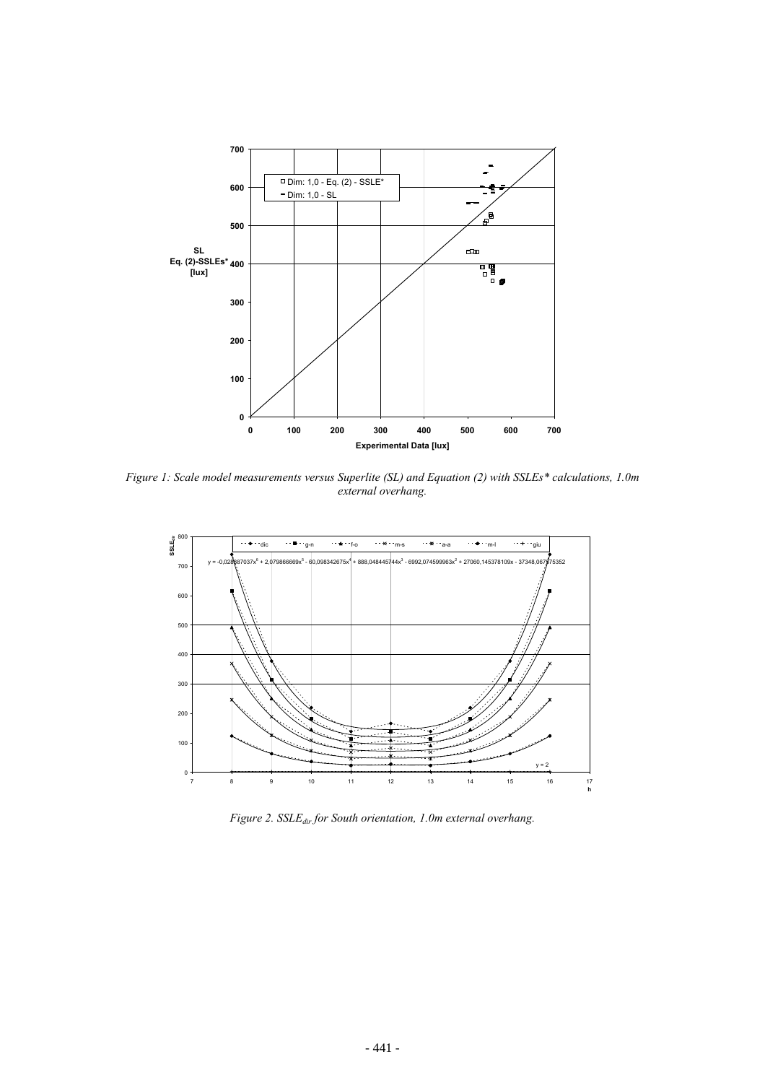

*Figure 1: Scale model measurements versus Superlite (SL) and Equation (2) with SSLEs\* calculations, 1.0m external overhang.*



*Figure 2. SSLE<sub>dir</sub> for South orientation, 1.0m external overhang.*